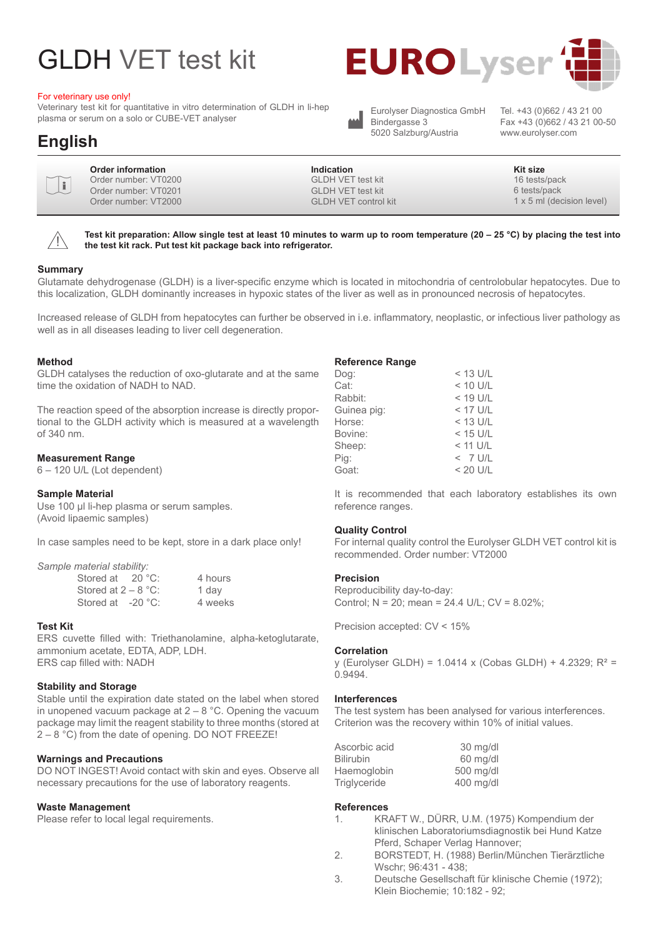# GLDH VET test kit

#### For veterinary use only!

Veterinary test kit for quantitative in vitro determination of GLDH in li-hep plasma or serum on a solo or CUBE-VET analyser





Bindergasse 3 5020 Salzburg/Austria

Eurolyser Diagnostica GmbH Tel. +43 (0)662 / 43 21 00<br>Bindergasse 3 Fax +43 (0)662 / 43 21 00 Fax +43 (0)662 / 43 21 00-50 www.eurolyser.com

| Order information<br>$\sqrt{\mathbf{i}}$<br>Order number: VT0200<br>Order number: VT0201<br>Order number: VT2000 | Indication<br><b>GLDH VET test kit</b><br><b>GLDH VET test kit</b><br><b>GLDH VET control kit</b> | Kit size<br>16 tests/pack<br>6 tests/pack<br>1 x 5 ml (decision level) |
|------------------------------------------------------------------------------------------------------------------|---------------------------------------------------------------------------------------------------|------------------------------------------------------------------------|
|------------------------------------------------------------------------------------------------------------------|---------------------------------------------------------------------------------------------------|------------------------------------------------------------------------|

 $\bigwedge$ 

**Test kit preparation: Allow single test at least 10 minutes to warm up to room temperature (20 – 25 °C) by placing the test into the test kit rack. Put test kit package back into refrigerator.**

#### **Summary**

Glutamate dehydrogenase (GLDH) is a liver-specific enzyme which is located in mitochondria of centrolobular hepatocytes. Due to this localization, GLDH dominantly increases in hypoxic states of the liver as well as in pronounced necrosis of hepatocytes.

Increased release of GLDH from hepatocytes can further be observed in i.e. inflammatory, neoplastic, or infectious liver pathology as well as in all diseases leading to liver cell degeneration.

#### **Method**

GLDH catalyses the reduction of oxo-glutarate and at the same time the oxidation of NADH to NAD.

The reaction speed of the absorption increase is directly proportional to the GLDH activity which is measured at a wavelength of 340 nm.

#### **Measurement Range**

6 – 120 U/L (Lot dependent)

#### **Sample Material**

Use 100 µl li-hep plasma or serum samples. (Avoid lipaemic samples)

In case samples need to be kept, store in a dark place only!

*Sample material stability:*

| Stored at 20 °C:              | 4 hours |
|-------------------------------|---------|
| Stored at 2 – 8 $^{\circ}$ C: | 1 dav   |
| Stored at -20 °C:             | 4 weeks |

#### **Test Kit**

ERS cuvette filled with: Triethanolamine, alpha-ketoglutarate, ammonium acetate, EDTA, ADP, LDH. ERS cap filled with: NADH

#### **Stability and Storage**

Stable until the expiration date stated on the label when stored in unopened vacuum package at  $2 - 8$  °C. Opening the vacuum package may limit the reagent stability to three months (stored at 2 – 8 °C) from the date of opening. DO NOT FREEZE!

#### **Warnings and Precautions**

DO NOT INGEST! Avoid contact with skin and eyes. Observe all necessary precautions for the use of laboratory reagents.

#### **Waste Management**

Please refer to local legal requirements.

#### **Reference Range**

| Dog:        | $<$ 13 U/L |
|-------------|------------|
| Cat:        | $< 10$ U/L |
| Rabbit:     | $<$ 19 U/L |
| Guinea pig: | $<$ 17 U/L |
| Horse:      | $<$ 13 U/L |
| Bovine:     | $<$ 15 U/L |
| Sheep:      | $<$ 11 U/L |
| Pig:        | $<$ 7 U/L  |
| Goat:       | $< 20$ U/L |
|             |            |

It is recommended that each laboratory establishes its own reference ranges.

#### **Quality Control**

For internal quality control the Eurolyser GLDH VET control kit is recommended. Order number: VT2000

#### **Precision**

Reproducibility day-to-day: Control; N = 20; mean = 24.4 U/L; CV = 8.02%;

Precision accepted: CV < 15%

#### **Correlation**

y (Eurolyser GLDH) = 1.0414 x (Cobas GLDH) + 4.2329; R² = 0.9494.

#### **Interferences**

The test system has been analysed for various interferences. Criterion was the recovery within 10% of initial values.

| Ascorbic acid    | 30 mg/dl  |
|------------------|-----------|
| <b>Bilirubin</b> | 60 mg/dl  |
| Haemoglobin      | 500 mg/dl |
| Triglyceride     | 400 mg/dl |

#### **References**

- 1. KRAFT W., DÜRR, U.M. (1975) Kompendium der klinischen Laboratoriumsdiagnostik bei Hund Katze Pferd, Schaper Verlag Hannover;
- 2. BORSTEDT, H. (1988) Berlin/München Tierärztliche Wschr; 96:431 - 438;
- 3. Deutsche Gesellschaft für klinische Chemie (1972); Klein Biochemie; 10:182 - 92;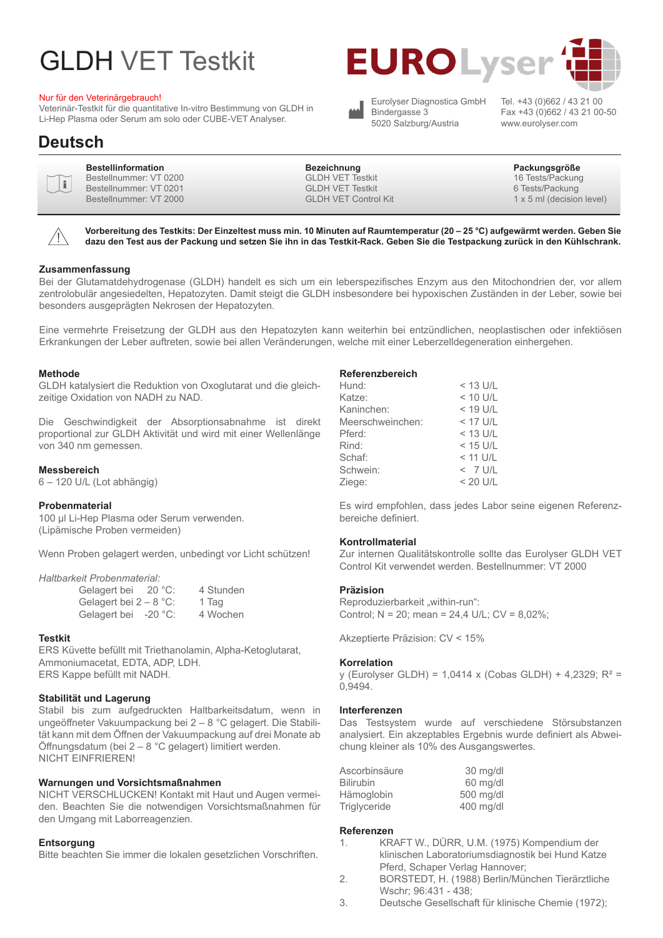# GLDH VET Testkit

#### Nur für den Veterinärgebrauch!

Veterinär-Testkit für die quantitative In-vitro Bestimmung von GLDH in Li-Hep Plasma oder Serum am solo oder CUBE-VET Analyser.



Eurolyser Diagnostica GmbH Bindergasse 3 5020 Salzburg/Austria

Tel. +43 (0)662 / 43 21 00 Fax +43 (0)662 / 43 21 00-50 www.eurolyser.com

#### **Bestellinformation Bezeichnung Packungsgröße** Bestellnummer: VT 0200 Bestellnummer: VT 0201 Bestellnummer: VT 2000 GLDH VET Testkit GLDH VET Testkit GLDH VET Control Kit 16 Tests/Packung 6 Tests/Packung 1 x 5 ml (decision level) i

 $\bigwedge$ 

**Vorbereitung des Testkits: Der Einzeltest muss min. 10 Minuten auf Raumtemperatur (20 – 25 °C) aufgewärmt werden. Geben Sie dazu den Test aus der Packung und setzen Sie ihn in das Testkit-Rack. Geben Sie die Testpackung zurück in den Kühlschrank.**

#### **Zusammenfassung**

Bei der Glutamatdehydrogenase (GLDH) handelt es sich um ein leberspezifisches Enzym aus den Mitochondrien der, vor allem zentrolobulär angesiedelten, Hepatozyten. Damit steigt die GLDH insbesondere bei hypoxischen Zuständen in der Leber, sowie bei besonders ausgeprägten Nekrosen der Hepatozyten.

Eine vermehrte Freisetzung der GLDH aus den Hepatozyten kann weiterhin bei entzündlichen, neoplastischen oder infektiösen Erkrankungen der Leber auftreten, sowie bei allen Veränderungen, welche mit einer Leberzelldegeneration einhergehen.

#### **Methode**

GLDH katalysiert die Reduktion von Oxoglutarat und die gleichzeitige Oxidation von NADH zu NAD.

Die Geschwindigkeit der Absorptionsabnahme ist direkt proportional zur GLDH Aktivität und wird mit einer Wellenlänge von 340 nm gemessen.

#### **Messbereich**

6 – 120 U/L (Lot abhängig)

#### **Probenmaterial**

100 µl Li-Hep Plasma oder Serum verwenden. (Lipämische Proben vermeiden)

Wenn Proben gelagert werden, unbedingt vor Licht schützen!

#### *Haltbarkeit Probenmaterial:*

| Gelagert bei             | 20 °C: | 4 Stunden |
|--------------------------|--------|-----------|
| Gelagert bei $2 - 8$ °C: |        | 1 Tag     |
| Gelagert bei -20 °C:     |        | 4 Wochen  |

#### **Testkit**

ERS Küvette befüllt mit Triethanolamin, Alpha-Ketoglutarat, Ammoniumacetat, EDTA, ADP, LDH. ERS Kappe befüllt mit NADH.

#### **Stabilität und Lagerung**

Stabil bis zum aufgedruckten Haltbarkeitsdatum, wenn in ungeöffneter Vakuumpackung bei 2 – 8 °C gelagert. Die Stabilität kann mit dem Öffnen der Vakuumpackung auf drei Monate ab Öffnungsdatum (bei 2 – 8 °C gelagert) limitiert werden. NICHT EINFRIEREN!

#### **Warnungen und Vorsichtsmaßnahmen**

NICHT VERSCHLUCKEN! Kontakt mit Haut und Augen vermeiden. Beachten Sie die notwendigen Vorsichtsmaßnahmen für den Umgang mit Laborreagenzien.

#### **Entsorgung**

Bitte beachten Sie immer die lokalen gesetzlichen Vorschriften.

#### **Referenzbereich**

| Hund:            | $<$ 13 U/L |
|------------------|------------|
| Katze:           | $< 10$ U/L |
| Kaninchen:       | $< 19$ U/L |
| Meerschweinchen: | $<$ 17 U/L |
| Pferd:           | $<$ 13 U/L |
| Rind:            | $<$ 15 U/L |
| Schaf:           | $<$ 11 U/L |
| Schwein:         | $<$ 7 U/L  |
| Ziege:           | $< 20$ U/L |
|                  |            |

Es wird empfohlen, dass jedes Labor seine eigenen Referenzbereiche definiert.

#### **Kontrollmaterial**

Zur internen Qualitätskontrolle sollte das Eurolyser GLDH VET Control Kit verwendet werden. Bestellnummer: VT 2000

#### **Präzision**

Reproduzierbarkeit "within-run": Control; N = 20; mean = 24,4 U/L; CV = 8,02%;

Akzeptierte Präzision: CV < 15%

#### **Korrelation**

y (Eurolyser GLDH) = 1,0414 x (Cobas GLDH) + 4,2329; R² = 0,9494.

#### **Interferenzen**

Das Testsystem wurde auf verschiedene Störsubstanzen analysiert. Ein akzeptables Ergebnis wurde definiert als Abweichung kleiner als 10% des Ausgangswertes.

| Ascorbinsäure    | 30 mg/dl  |
|------------------|-----------|
| <b>Bilirubin</b> | 60 mg/dl  |
| Hämoglobin       | 500 mg/dl |
| Triglyceride     | 400 mg/dl |

#### **Referenzen**

- 1. KRAFT W., DÜRR, U.M. (1975) Kompendium der klinischen Laboratoriumsdiagnostik bei Hund Katze Pferd, Schaper Verlag Hannover;
- 2. BORSTEDT, H. (1988) Berlin/München Tierärztliche Wschr; 96:431 - 438;
- 3. Deutsche Gesellschaft für klinische Chemie (1972);

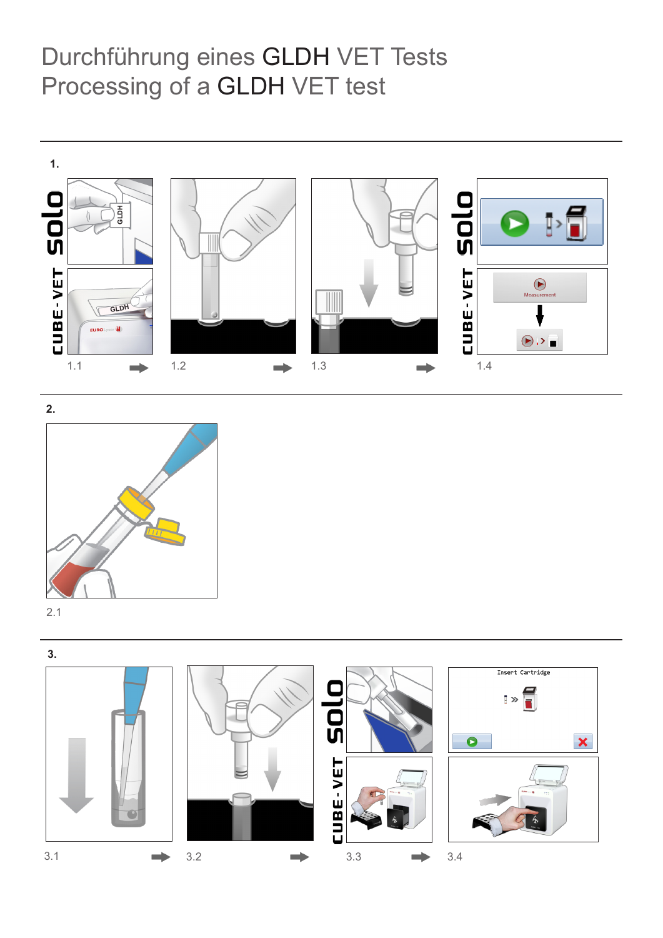## Durchführung eines GLDH VET Tests Processing of a GLDH VET test





2.1